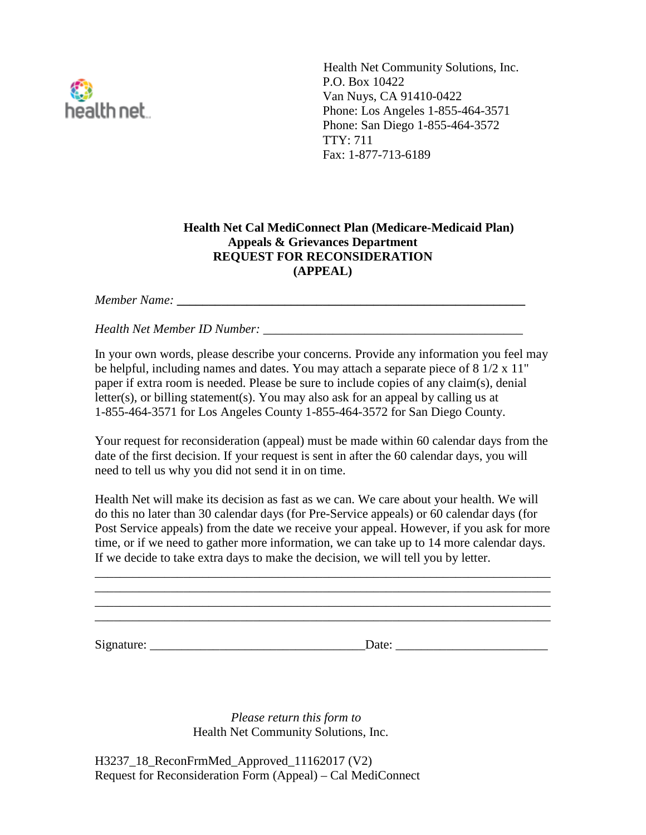

Health Net Community Solutions, Inc. P.O. Box 10422 Van Nuys, CA 91410-0422 Phone: Los Angeles 1-855-464-3571 Phone: San Diego 1-855-464-3572 TTY: 711 Fax: 1-877-713-6189

## **Health Net Cal MediConnect Plan (Medicare-Medicaid Plan) Appeals & Grievances Department REQUEST FOR RECONSIDERATION (APPEAL)**

*Member Name:* **\_\_\_\_\_\_\_\_\_\_\_\_\_\_\_\_\_\_\_\_\_\_\_\_\_\_\_\_\_\_\_\_\_\_\_\_\_\_\_\_\_\_\_\_\_\_\_\_\_\_\_\_\_\_\_** 

*Health Net Member ID Number: \_\_\_\_\_\_\_\_\_\_\_\_\_\_\_\_\_\_\_\_\_\_\_\_\_\_\_\_\_\_\_\_\_\_\_\_\_\_\_\_\_* 

In your own words, please describe your concerns. Provide any information you feel may be helpful, including names and dates. You may attach a separate piece of 8 1/2 x 11" paper if extra room is needed. Please be sure to include copies of any claim(s), denial letter(s), or billing statement(s). You may also ask for an appeal by calling us at 1-855-464-3571 for Los Angeles County 1-855-464-3572 for San Diego County.

Your request for reconsideration (appeal) must be made within 60 calendar days from the date of the first decision. If your request is sent in after the 60 calendar days, you will need to tell us why you did not send it in on time.

Health Net will make its decision as fast as we can. We care about your health. We will do this no later than 30 calendar days (for Pre-Service appeals) or 60 calendar days (for Post Service appeals) from the date we receive your appeal. However, if you ask for more time, or if we need to gather more information, we can take up to 14 more calendar days. If we decide to take extra days to make the decision, we will tell you by letter.

\_\_\_\_\_\_\_\_\_\_\_\_\_\_\_\_\_\_\_\_\_\_\_\_\_\_\_\_\_\_\_\_\_\_\_\_\_\_\_\_\_\_\_\_\_\_\_\_\_\_\_\_\_\_\_\_\_\_\_\_\_\_\_\_\_\_\_\_\_\_\_\_ \_\_\_\_\_\_\_\_\_\_\_\_\_\_\_\_\_\_\_\_\_\_\_\_\_\_\_\_\_\_\_\_\_\_\_\_\_\_\_\_\_\_\_\_\_\_\_\_\_\_\_\_\_\_\_\_\_\_\_\_\_\_\_\_\_\_\_\_\_\_\_\_ \_\_\_\_\_\_\_\_\_\_\_\_\_\_\_\_\_\_\_\_\_\_\_\_\_\_\_\_\_\_\_\_\_\_\_\_\_\_\_\_\_\_\_\_\_\_\_\_\_\_\_\_\_\_\_\_\_\_\_\_\_\_\_\_\_\_\_\_\_\_\_\_ \_\_\_\_\_\_\_\_\_\_\_\_\_\_\_\_\_\_\_\_\_\_\_\_\_\_\_\_\_\_\_\_\_\_\_\_\_\_\_\_\_\_\_\_\_\_\_\_\_\_\_\_\_\_\_\_\_\_\_\_\_\_\_\_\_\_\_\_\_\_\_\_

 $Signature: \_\_\_\_\_\_\_$ 

*Please return this form to*  Health Net Community Solutions, Inc.

H3237\_18\_ReconFrmMed\_Approved\_11162017 (V2) Request for Reconsideration Form (Appeal) – Cal MediConnect